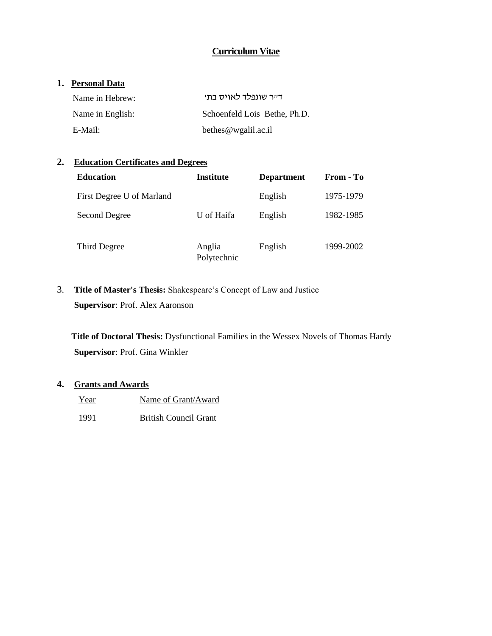# **Curriculum Vitae**

## **1. Personal Data**

| Name in Hebrew:  | דייר שונפלד לאויס בתי        |  |
|------------------|------------------------------|--|
| Name in English: | Schoenfeld Lois Bethe, Ph.D. |  |
| E-Mail:          | bethes $@$ wgalil.ac.il      |  |

# **2. Education Certificates and Degrees**

| <b>Education</b>          | <b>Institute</b>      | <b>Department</b> | From - To |
|---------------------------|-----------------------|-------------------|-----------|
| First Degree U of Marland |                       | English           | 1975-1979 |
| Second Degree             | U of Haifa            | English           | 1982-1985 |
| Third Degree              | Anglia<br>Polytechnic | English           | 1999-2002 |

3. **Title of Master's Thesis:** Shakespeare's Concept of Law and Justice **Supervisor**: Prof. Alex Aaronson

**Title of Doctoral Thesis:** Dysfunctional Families in the Wessex Novels of Thomas Hardy **Supervisor**: Prof. Gina Winkler

# **4. Grants and Awards**

- Year Name of Grant/Award
- 1991 British Council Grant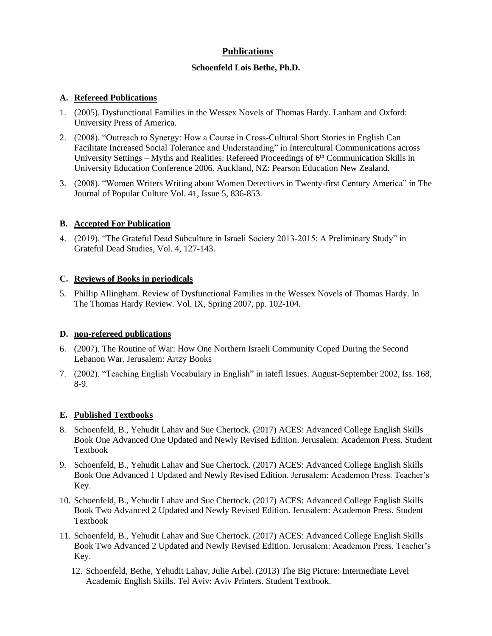# **Publications**

### **Schoenfeld Lois Bethe, Ph.D.**

### **A. Refereed Publications**

- 1. (2005). Dysfunctional Families in the Wessex Novels of Thomas Hardy. Lanham and Oxford: University Press of America.
- 2. (2008). "Outreach to Synergy: How a Course in Cross-Cultural Short Stories in English Can Facilitate Increased Social Tolerance and Understanding" in Intercultural Communications across University Settings – Myths and Realities: Refereed Proceedings of 6<sup>th</sup> Communication Skills in University Education Conference 2006. Auckland, NZ: Pearson Education New Zealand.
- 3. (2008). "Women Writers Writing about Women Detectives in Twenty-first Century America" in The Journal of Popular Culture Vol. 41, Issue 5, 836-853.

# **B. Accepted For Publication**

4. (2019). "The Grateful Dead Subculture in Israeli Society 2013-2015: A Preliminary Study" in Grateful Dead Studies, Vol. 4, 127-143.

### **C. Reviews of Books in periodicals**

5. Phillip Allingham. Review of Dysfunctional Families in the Wessex Novels of Thomas Hardy. In The Thomas Hardy Review. Vol. IX, Spring 2007, pp. 102-104.

# **D. non-refereed publications**

- 6. (2007). The Routine of War: How One Northern Israeli Community Coped During the Second Lebanon War. Jerusalem: Artzy Books
- 7. (2002). "Teaching English Vocabulary in English" in iatefl Issues. August-September 2002, Iss. 168, 8-9.

# **E. Published Textbooks**

- 8. Schoenfeld, B., Yehudit Lahav and Sue Chertock. (2017) ACES: Advanced College English Skills Book One Advanced One Updated and Newly Revised Edition. Jerusalem: Academon Press. Student Textbook
- 9. Schoenfeld, B., Yehudit Lahav and Sue Chertock. (2017) ACES: Advanced College English Skills Book One Advanced 1 Updated and Newly Revised Edition. Jerusalem: Academon Press. Teacher's Key.
- 10. Schoenfeld, B., Yehudit Lahav and Sue Chertock. (2017) ACES: Advanced College English Skills Book Two Advanced 2 Updated and Newly Revised Edition. Jerusalem: Academon Press. Student Textbook
- 11. Schoenfeld, B., Yehudit Lahav and Sue Chertock. (2017) ACES: Advanced College English Skills Book Two Advanced 2 Updated and Newly Revised Edition. Jerusalem: Academon Press. Teacher's Key.
	- 12. Schoenfeld, Bethe, Yehudit Lahav, Julie Arbel. (2013) The Big Picture: Intermediate Level Academic English Skills. Tel Aviv: Aviv Printers. Student Textbook.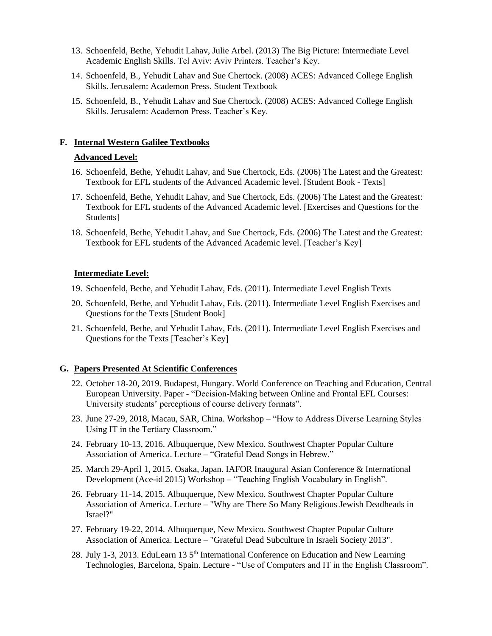- 13. Schoenfeld, Bethe, Yehudit Lahav, Julie Arbel. (2013) The Big Picture: Intermediate Level Academic English Skills. Tel Aviv: Aviv Printers. Teacher's Key.
- 14. Schoenfeld, B., Yehudit Lahav and Sue Chertock. (2008) ACES: Advanced College English Skills. Jerusalem: Academon Press. Student Textbook
- 15. Schoenfeld, B., Yehudit Lahav and Sue Chertock. (2008) ACES: Advanced College English Skills. Jerusalem: Academon Press. Teacher's Key.

#### **F. Internal Western Galilee Textbooks**

#### **Advanced Level:**

- 16. Schoenfeld, Bethe, Yehudit Lahav, and Sue Chertock, Eds. (2006) The Latest and the Greatest: Textbook for EFL students of the Advanced Academic level. [Student Book - Texts]
- 17. Schoenfeld, Bethe, Yehudit Lahav, and Sue Chertock, Eds. (2006) The Latest and the Greatest: Textbook for EFL students of the Advanced Academic level. [Exercises and Questions for the Students]
- 18. Schoenfeld, Bethe, Yehudit Lahav, and Sue Chertock, Eds. (2006) The Latest and the Greatest: Textbook for EFL students of the Advanced Academic level. [Teacher's Key]

#### **Intermediate Level:**

- 19. Schoenfeld, Bethe, and Yehudit Lahav, Eds. (2011). Intermediate Level English Texts
- 20. Schoenfeld, Bethe, and Yehudit Lahav, Eds. (2011). Intermediate Level English Exercises and Questions for the Texts [Student Book]
- 21. Schoenfeld, Bethe, and Yehudit Lahav, Eds. (2011). Intermediate Level English Exercises and Questions for the Texts [Teacher's Key]

#### **G. Papers Presented At Scientific Conferences**

- 22. October 18-20, 2019. Budapest, Hungary. World Conference on Teaching and Education, Central European University. Paper - "Decision-Making between Online and Frontal EFL Courses: University students' perceptions of course delivery formats".
- 23. June 27-29, 2018, Macau, SAR, China. Workshop "How to Address Diverse Learning Styles Using IT in the Tertiary Classroom."
- 24. February 10-13, 2016. Albuquerque, New Mexico. Southwest Chapter Popular Culture Association of America. Lecture – "Grateful Dead Songs in Hebrew."
- 25. March 29-April 1, 2015. Osaka, Japan. IAFOR Inaugural Asian Conference & International Development (Ace-id 2015) Workshop – "Teaching English Vocabulary in English".
- 26. February 11-14, 2015. Albuquerque, New Mexico. Southwest Chapter Popular Culture Association of America. Lecture – "Why are There So Many Religious Jewish Deadheads in Israel?"
- 27. February 19-22, 2014. Albuquerque, New Mexico. Southwest Chapter Popular Culture Association of America. Lecture – "Grateful Dead Subculture in Israeli Society 2013".
- 28. July 1-3, 2013. EduLearn 13 5th International Conference on Education and New Learning Technologies, Barcelona, Spain. Lecture - "Use of Computers and IT in the English Classroom".